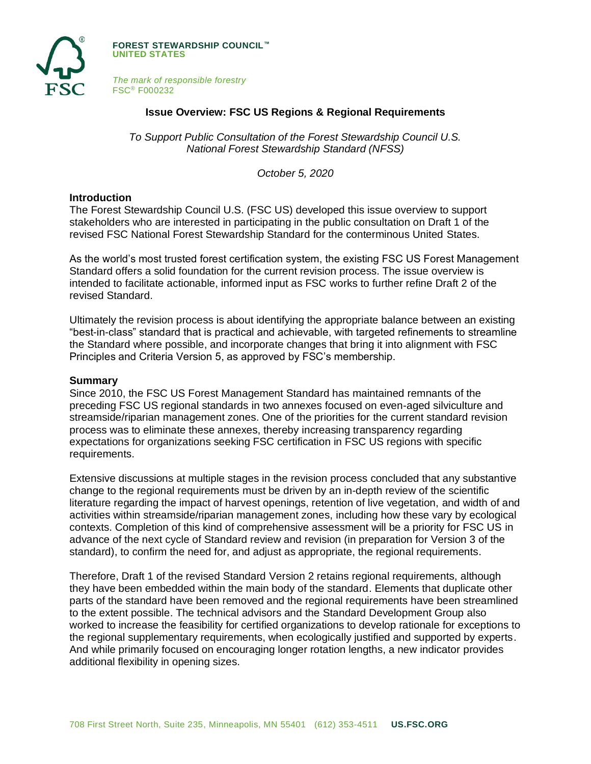

**FOREST STEWARDSHIP COUNCIL™ UNITED STATES**

*The mark of responsible forestry* FSC® F000232

## **Issue Overview: FSC US Regions & Regional Requirements**

*To Support Public Consultation of the Forest Stewardship Council U.S. National Forest Stewardship Standard (NFSS)*

*October 5, 2020*

#### **Introduction**

The Forest Stewardship Council U.S. (FSC US) developed this issue overview to support stakeholders who are interested in participating in the public consultation on Draft 1 of the revised FSC National Forest Stewardship Standard for the conterminous United States.

As the world's most trusted forest certification system, the existing FSC US Forest Management Standard offers a solid foundation for the current revision process. The issue overview is intended to facilitate actionable, informed input as FSC works to further refine Draft 2 of the revised Standard.

Ultimately the revision process is about identifying the appropriate balance between an existing "best-in-class" standard that is practical and achievable, with targeted refinements to streamline the Standard where possible, and incorporate changes that bring it into alignment with FSC Principles and Criteria Version 5, as approved by FSC's membership.

#### **Summary**

Since 2010, the FSC US Forest Management Standard has maintained remnants of the preceding FSC US regional standards in two annexes focused on even-aged silviculture and streamside/riparian management zones. One of the priorities for the current standard revision process was to eliminate these annexes, thereby increasing transparency regarding expectations for organizations seeking FSC certification in FSC US regions with specific requirements.

Extensive discussions at multiple stages in the revision process concluded that any substantive change to the regional requirements must be driven by an in-depth review of the scientific literature regarding the impact of harvest openings, retention of live vegetation, and width of and activities within streamside/riparian management zones, including how these vary by ecological contexts. Completion of this kind of comprehensive assessment will be a priority for FSC US in advance of the next cycle of Standard review and revision (in preparation for Version 3 of the standard), to confirm the need for, and adjust as appropriate, the regional requirements.

Therefore, Draft 1 of the revised Standard Version 2 retains regional requirements, although they have been embedded within the main body of the standard. Elements that duplicate other parts of the standard have been removed and the regional requirements have been streamlined to the extent possible. The technical advisors and the Standard Development Group also worked to increase the feasibility for certified organizations to develop rationale for exceptions to the regional supplementary requirements, when ecologically justified and supported by experts. And while primarily focused on encouraging longer rotation lengths, a new indicator provides additional flexibility in opening sizes.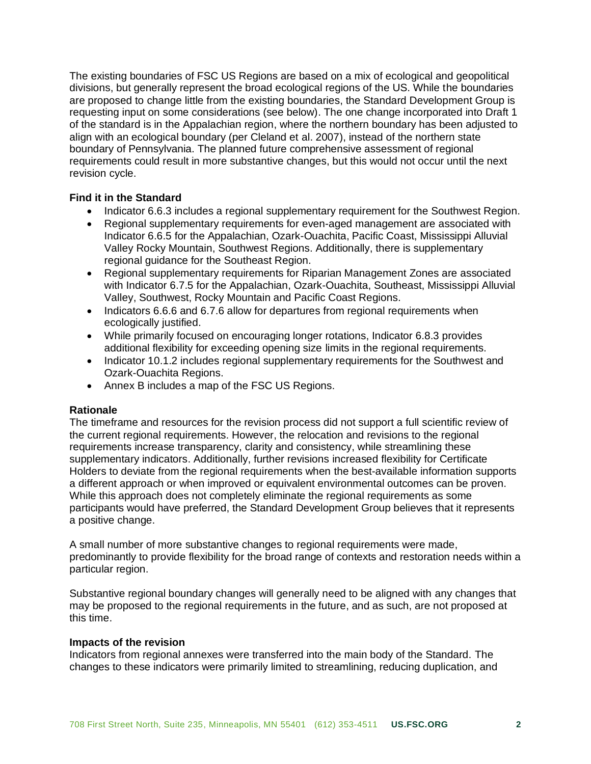The existing boundaries of FSC US Regions are based on a mix of ecological and geopolitical divisions, but generally represent the broad ecological regions of the US. While the boundaries are proposed to change little from the existing boundaries, the Standard Development Group is requesting input on some considerations (see below). The one change incorporated into Draft 1 of the standard is in the Appalachian region, where the northern boundary has been adjusted to align with an ecological boundary (per Cleland et al. 2007), instead of the northern state boundary of Pennsylvania. The planned future comprehensive assessment of regional requirements could result in more substantive changes, but this would not occur until the next revision cycle.

# **Find it in the Standard**

- Indicator 6.6.3 includes a regional supplementary requirement for the Southwest Region.
- Regional supplementary requirements for even-aged management are associated with Indicator 6.6.5 for the Appalachian, Ozark-Ouachita, Pacific Coast, Mississippi Alluvial Valley Rocky Mountain, Southwest Regions. Additionally, there is supplementary regional guidance for the Southeast Region.
- Regional supplementary requirements for Riparian Management Zones are associated with Indicator 6.7.5 for the Appalachian, Ozark-Ouachita, Southeast, Mississippi Alluvial Valley, Southwest, Rocky Mountain and Pacific Coast Regions.
- Indicators 6.6.6 and 6.7.6 allow for departures from regional requirements when ecologically justified.
- While primarily focused on encouraging longer rotations, Indicator 6.8.3 provides additional flexibility for exceeding opening size limits in the regional requirements.
- Indicator 10.1.2 includes regional supplementary requirements for the Southwest and Ozark-Ouachita Regions.
- Annex B includes a map of the FSC US Regions.

## **Rationale**

The timeframe and resources for the revision process did not support a full scientific review of the current regional requirements. However, the relocation and revisions to the regional requirements increase transparency, clarity and consistency, while streamlining these supplementary indicators. Additionally, further revisions increased flexibility for Certificate Holders to deviate from the regional requirements when the best-available information supports a different approach or when improved or equivalent environmental outcomes can be proven. While this approach does not completely eliminate the regional requirements as some participants would have preferred, the Standard Development Group believes that it represents a positive change.

A small number of more substantive changes to regional requirements were made, predominantly to provide flexibility for the broad range of contexts and restoration needs within a particular region.

Substantive regional boundary changes will generally need to be aligned with any changes that may be proposed to the regional requirements in the future, and as such, are not proposed at this time.

## **Impacts of the revision**

Indicators from regional annexes were transferred into the main body of the Standard. The changes to these indicators were primarily limited to streamlining, reducing duplication, and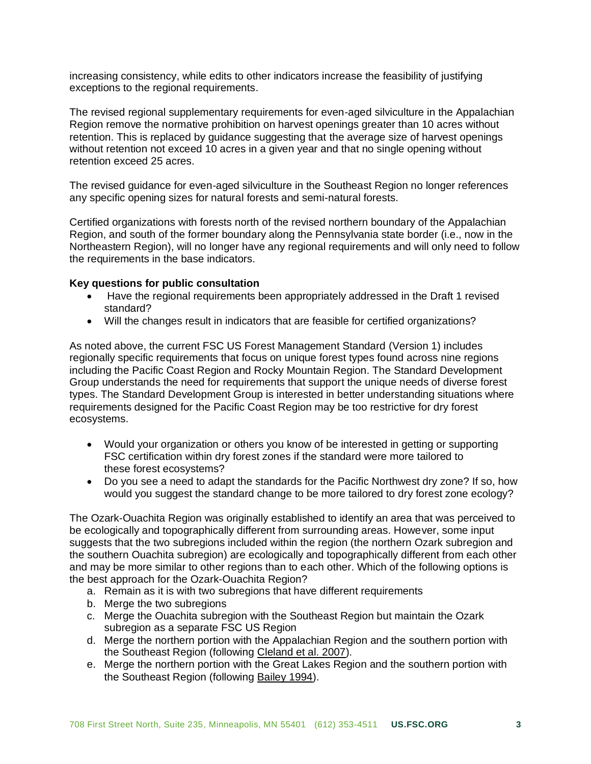increasing consistency, while edits to other indicators increase the feasibility of justifying exceptions to the regional requirements.

The revised regional supplementary requirements for even-aged silviculture in the Appalachian Region remove the normative prohibition on harvest openings greater than 10 acres without retention. This is replaced by guidance suggesting that the average size of harvest openings without retention not exceed 10 acres in a given year and that no single opening without retention exceed 25 acres.

The revised guidance for even-aged silviculture in the Southeast Region no longer references any specific opening sizes for natural forests and semi-natural forests.

Certified organizations with forests north of the revised northern boundary of the Appalachian Region, and south of the former boundary along the Pennsylvania state border (i.e., now in the Northeastern Region), will no longer have any regional requirements and will only need to follow the requirements in the base indicators.

## **Key questions for public consultation**

- Have the regional requirements been appropriately addressed in the Draft 1 revised standard?
- Will the changes result in indicators that are feasible for certified organizations?

As noted above, the current FSC US Forest Management Standard (Version 1) includes regionally specific requirements that focus on unique forest types found across nine regions including the Pacific Coast Region and Rocky Mountain Region. The Standard Development Group understands the need for requirements that support the unique needs of diverse forest types. The Standard Development Group is interested in better understanding situations where requirements designed for the Pacific Coast Region may be too restrictive for dry forest ecosystems.

- Would your organization or others you know of be interested in getting or supporting FSC certification within dry forest zones if the standard were more tailored to these forest ecosystems?
- Do you see a need to adapt the standards for the Pacific Northwest dry zone? If so, how would you suggest the standard change to be more tailored to dry forest zone ecology?

The Ozark-Ouachita Region was originally established to identify an area that was perceived to be ecologically and topographically different from surrounding areas. However, some input suggests that the two subregions included within the region (the northern Ozark subregion and the southern Ouachita subregion) are ecologically and topographically different from each other and may be more similar to other regions than to each other. Which of the following options is the best approach for the Ozark-Ouachita Region?

- a. Remain as it is with two subregions that have different requirements
- b. Merge the two subregions
- c. Merge the Ouachita subregion with the Southeast Region but maintain the Ozark subregion as a separate FSC US Region
- d. Merge the northern portion with the Appalachian Region and the southern portion with the Southeast Region (following [Cleland et al. 2007\)](https://www.fs.fed.us/research/publications/misc/73326-wo-gtr-76d-cleland2007.pdf).
- e. Merge the northern portion with the Great Lakes Region and the southern portion with the Southeast Region (following [Bailey 1994\)](https://www.fs.usda.gov/rmrs/ecoregions).